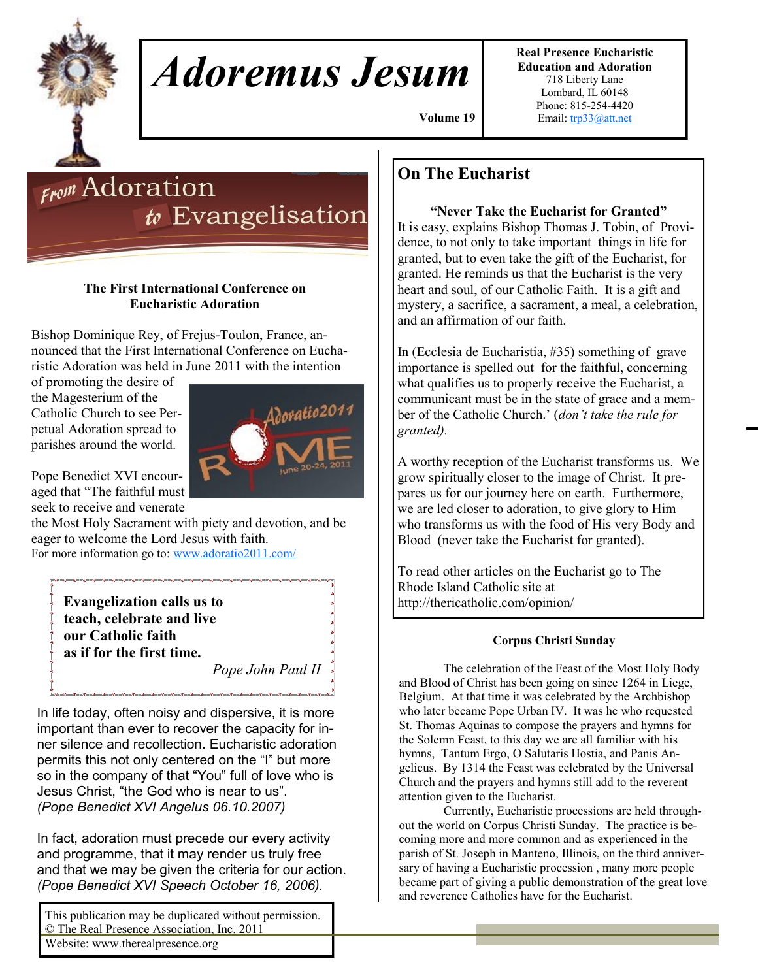# *Adoremus Jesum*

**Real Presence Eucharistic Education and Adoration**  718 Liberty Lane Lombard, IL 60148 Phone: 815-254-4420 Email: [trp33@att.net](mailto:trp33@att.net)

 **Volume 19,**

# **From** Adoration  $t$  Evangelisation

# **The First International Conference on Eucharistic Adoration**

Bishop Dominique Rey, of Frejus-Toulon, France, announced that the First International Conference on Eucharistic Adoration was held in June 2011 with the intention

of promoting the desire of the Magesterium of the Catholic Church to see Perpetual Adoration spread to parishes around the world.



Pope Benedict XVI encouraged that "The faithful must seek to receive and venerate

the Most Holy Sacrament with piety and devotion, and be eager to welcome the Lord Jesus with faith. For more information go to: [www.adoratio2011.com/](http://www.adoratio2011.com/)

**Evangelization calls us to teach, celebrate and live our Catholic faith as if for the first time.**  *Pope John Paul II*

In life today, often noisy and dispersive, it is more important than ever to recover the capacity for inner silence and recollection. Eucharistic adoration permits this not only centered on the "I" but more so in the company of that "You" full of love who is Jesus Christ, "the God who is near to us". *(Pope Benedict XVI Angelus 06.10.2007)*

In fact, adoration must precede our every activity and programme, that it may render us truly free and that we may be given the criteria for our action. *(Pope Benedict XVI Speech October 16, 2006).*

This publication may be duplicated without permission. © The Real Presence Association, Inc. 2011 Website: www.therealpresence.org

# **On The Eucharist**

# **"Never Take the Eucharist for Granted"**

It is easy, explains Bishop Thomas J. Tobin, of Providence, to not only to take important things in life for granted, but to even take the gift of the Eucharist, for granted. He reminds us that the Eucharist is the very heart and soul, of our Catholic Faith. It is a gift and mystery, a sacrifice, a sacrament, a meal, a celebration, and an affirmation of our faith.

In (Ecclesia de Eucharistia, #35) something of grave importance is spelled out for the faithful, concerning what qualifies us to properly receive the Eucharist, a communicant must be in the state of grace and a member of the Catholic Church.' (*don't take the rule for granted).*

A worthy reception of the Eucharist transforms us. We grow spiritually closer to the image of Christ. It prepares us for our journey here on earth. Furthermore, we are led closer to adoration, to give glory to Him who transforms us with the food of His very Body and Blood (never take the Eucharist for granted).

To read other articles on the Eucharist go to The Rhode Island Catholic site at

## **Corpus Christi Sunday**

The celebration of the Feast of the Most Holy Body and Blood of Christ has been going on since 1264 in Liege, Belgium. At that time it was celebrated by the Archbishop who later became Pope Urban IV. It was he who requested St. Thomas Aquinas to compose the prayers and hymns for the Solemn Feast, to this day we are all familiar with his hymns, Tantum Ergo, O Salutaris Hostia, and Panis Angelicus. By 1314 the Feast was celebrated by the Universal Church and the prayers and hymns still add to the reverent attention given to the Eucharist.

Currently, Eucharistic processions are held throughout the world on Corpus Christi Sunday. The practice is becoming more and more common and as experienced in the parish of St. Joseph in Manteno, Illinois, on the third anniversary of having a Eucharistic procession , many more people became part of giving a public demonstration of the great love and reverence Catholics have for the Eucharist.